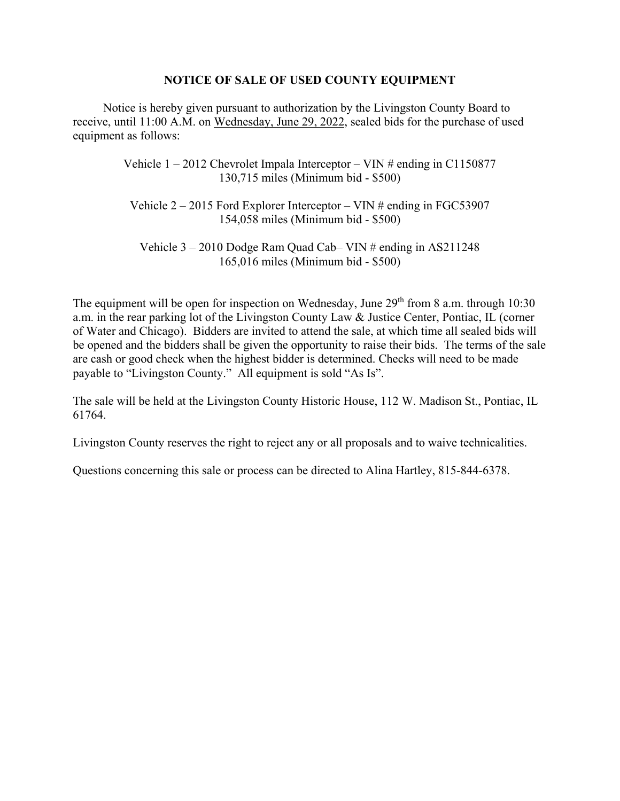## **NOTICE OF SALE OF USED COUNTY EQUIPMENT**

 Notice is hereby given pursuant to authorization by the Livingston County Board to receive, until 11:00 A.M. on Wednesday, June 29, 2022, sealed bids for the purchase of used equipment as follows:

> Vehicle  $1 - 2012$  Chevrolet Impala Interceptor – VIN # ending in C1150877 130,715 miles (Minimum bid - \$500)

Vehicle  $2 - 2015$  Ford Explorer Interceptor – VIN # ending in FGC53907 154,058 miles (Minimum bid - \$500)

Vehicle 3 – 2010 Dodge Ram Quad Cab– VIN # ending in AS211248 165,016 miles (Minimum bid - \$500)

The equipment will be open for inspection on Wednesday, June  $29<sup>th</sup>$  from 8 a.m. through 10:30 a.m. in the rear parking lot of the Livingston County Law & Justice Center, Pontiac, IL (corner of Water and Chicago). Bidders are invited to attend the sale, at which time all sealed bids will be opened and the bidders shall be given the opportunity to raise their bids. The terms of the sale are cash or good check when the highest bidder is determined. Checks will need to be made payable to "Livingston County." All equipment is sold "As Is".

The sale will be held at the Livingston County Historic House, 112 W. Madison St., Pontiac, IL 61764.

Livingston County reserves the right to reject any or all proposals and to waive technicalities.

Questions concerning this sale or process can be directed to Alina Hartley, 815-844-6378.